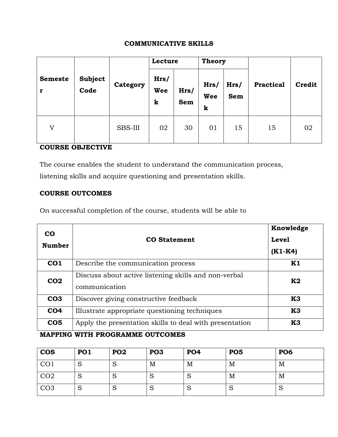### **COMMUNICATIVE SKILLS**

|                |                        |                | Lecture          |             | <b>Theory</b>    |                    |                  |               |
|----------------|------------------------|----------------|------------------|-------------|------------------|--------------------|------------------|---------------|
| <b>Semeste</b> | <b>Subject</b><br>Code | Category       | Hrs/<br>Wee<br>k | Hrs/<br>Sem | Hrs/<br>Wee<br>k | Hrs/<br><b>Sem</b> | <b>Practical</b> | <b>Credit</b> |
| V              |                        | <b>SBS-III</b> | 02               | 30          | 01               | 15                 | 15               | 02            |

## **COURSE OBJECTIVE**

The course enables the student to understand the communication process,

listening skills and acquire questioning and presentation skills.

## **COURSE OUTCOMES**

On successful completion of the course, students will be able to

| <b>CO</b><br><b>Number</b> | <b>CO</b> Statement                                                   | Knowledge<br><b>Level</b><br>$(K1-K4)$ |
|----------------------------|-----------------------------------------------------------------------|----------------------------------------|
| CO <sub>1</sub>            | Describe the communication process                                    | K1                                     |
| CO <sub>2</sub>            | Discuss about active listening skills and non-verbal<br>communication | K2                                     |
| CO <sub>3</sub>            | Discover giving constructive feedback                                 | K3                                     |
| CO <sub>4</sub>            | Illustrate appropriate questioning techniques                         | K <sub>3</sub>                         |
| CO <sub>5</sub>            | Apply the presentation skills to deal with presentation               | K3                                     |

# **MAPPING WITH PROGRAMME OUTCOMES**

| <b>COS</b>      | PO <sub>1</sub> | <b>PO2</b> | PO <sub>3</sub> | PO <sub>4</sub> | PO <sub>5</sub> | PO <sub>6</sub> |
|-----------------|-----------------|------------|-----------------|-----------------|-----------------|-----------------|
| CO <sub>1</sub> | N               | N          | M               | M               | M               | M               |
| CO <sub>2</sub> | N               | N          | N               | N               | M               | M               |
| CO <sub>3</sub> | N               | N          | N               | N               | $\mathcal{D}$   | N               |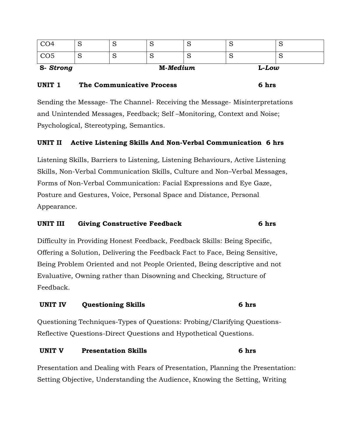| S-Strong        |   |   | M-Medium |   | $L$ - $L$ ow |   |
|-----------------|---|---|----------|---|--------------|---|
| CO <sub>5</sub> | ∼ | ∼ | ∼        | ∼ |              | ∼ |
| CO <sub>4</sub> | ∼ | ∼ | ∼        | ∼ | ∼            | ∼ |

### **UNIT 1 The Communicative Process 6 hrs**

Sending the Message- The Channel- Receiving the Message- Misinterpretations and Unintended Messages, Feedback; Self –Monitoring, Context and Noise; Psychological, Stereotyping, Semantics.

## **UNIT II Active Listening Skills And Non-Verbal Communication 6 hrs**

Listening Skills, Barriers to Listening, Listening Behaviours, Active Listening Skills, Non-Verbal Communication Skills, Culture and Non–Verbal Messages, Forms of Non-Verbal Communication: Facial Expressions and Eye Gaze, Posture and Gestures, Voice, Personal Space and Distance, Personal Appearance.

### **UNIT III Giving Constructive Feedback 6 hrs**

Difficulty in Providing Honest Feedback, Feedback Skills: Being Specific, Offering a Solution, Delivering the Feedback Fact to Face, Being Sensitive, Being Problem Oriented and not People Oriented, Being descriptive and not Evaluative, Owning rather than Disowning and Checking, Structure of Feedback.

### **UNIT IV Questioning Skills 6 hrs**

Questioning Techniques-Types of Questions: Probing/Clarifying Questions-Reflective Questions-Direct Questions and Hypothetical Questions.

#### **UNIT V Presentation Skills 6 hrs**

Presentation and Dealing with Fears of Presentation, Planning the Presentation: Setting Objective, Understanding the Audience, Knowing the Setting, Writing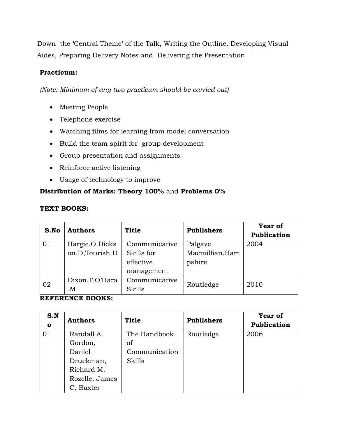Down the 'Central Theme' of the Talk, Writing the Outline, Developing Visual Aides, Preparing Delivery Notes and Delivering the Presentation

## **Practicum:**

*(Note: Minimum of any two practicum should be carried out)*

- Meeting People
- Telephone exercise
- Watching films for learning from model conversation
- Build the team spirit for group development
- Group presentation and assignments
- Reinforce active listening
- Usage of technology to improve

# **Distribution of Marks: Theory 100%** and **Problems 0%**

## **TEXT BOOKS:**

| S.No | <b>Authors</b> | <b>Title</b>  | <b>Publishers</b> | <b>Year of</b><br>Publication |
|------|----------------|---------------|-------------------|-------------------------------|
| 01   | Hargie.O.Dicks | Communicative | Palgave           | 2004                          |
|      | on.D,Tourish.D | Skills for    | Macmillian, Ham   |                               |
|      |                | effective     | pshire            |                               |
|      |                | management    |                   |                               |
| 02   | Dixon.T.O'Hara | Communicative | Routledge         | 2010                          |
|      | M.             | <b>Skills</b> |                   |                               |

## **REFERENCE BOOKS:**

| S.N<br>$\mathbf{o}$ | <b>Authors</b> | <b>Title</b>  | <b>Publishers</b> | Year of<br>Publication |
|---------------------|----------------|---------------|-------------------|------------------------|
| 01                  | Randall A.     | The Handbook  | Routledge         | 2006                   |
|                     | Gordon,        | of            |                   |                        |
|                     | Daniel         | Communication |                   |                        |
|                     | Druckman,      | Skills        |                   |                        |
|                     | Richard M.     |               |                   |                        |
|                     | Rozelle, James |               |                   |                        |
|                     | C. Baxter      |               |                   |                        |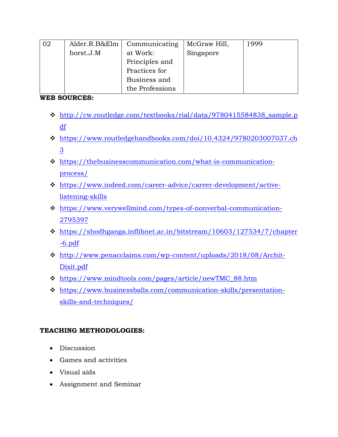| 02 | Alder.R.B&Elm | Communicating   | McGraw Hill, | 1999 |
|----|---------------|-----------------|--------------|------|
|    | horst.J.M     | at Work:        | Singapore    |      |
|    |               | Principles and  |              |      |
|    |               | Practices for   |              |      |
|    |               | Business and    |              |      |
|    |               | the Professions |              |      |

## **WEB SOURCES:**

- [http://cw.routledge.com/textbooks/rial/data/9780415584838\\_sample.p](http://cw.routledge.com/textbooks/rial/data/9780415584838_sample.pdf) [df](http://cw.routledge.com/textbooks/rial/data/9780415584838_sample.pdf)
- [https://www.routledgehandbooks.com/doi/10.4324/9780203007037.ch](https://www.routledgehandbooks.com/doi/10.4324/9780203007037.ch3) [3](https://www.routledgehandbooks.com/doi/10.4324/9780203007037.ch3)
- [https://thebusinesscommunication.com/what-is-communication](https://thebusinesscommunication.com/what-is-communication-process/)[process/](https://thebusinesscommunication.com/what-is-communication-process/)
- [https://www.indeed.com/career-advice/career-development/active](https://www.indeed.com/career-advice/career-development/active-listening-skills)[listening-skills](https://www.indeed.com/career-advice/career-development/active-listening-skills)
- [https://www.verywellmind.com/types-of-nonverbal-communication-](https://www.verywellmind.com/types-of-nonverbal-communication-2795397)[2795397](https://www.verywellmind.com/types-of-nonverbal-communication-2795397)
- $\cdot$  [https://shodhganga.inflibnet.ac.in/bitstream/10603/127534/7/chapter](https://shodhganga.inflibnet.ac.in/bitstream/10603/127534/7/chapter-6.pdf) [-6.pdf](https://shodhganga.inflibnet.ac.in/bitstream/10603/127534/7/chapter-6.pdf)
- [http://www.penacclaims.com/wp-content/uploads/2018/08/Archit-](http://www.penacclaims.com/wp-content/uploads/2018/08/Archit-Dixit.pdf)[Dixit.pdf](http://www.penacclaims.com/wp-content/uploads/2018/08/Archit-Dixit.pdf)
- [https://www.mindtools.com/pages/article/newTMC\\_88.htm](https://www.mindtools.com/pages/article/newTMC_88.htm)
- [https://www.businessballs.com/communication-skills/presentation](https://www.businessballs.com/communication-skills/presentation-skills-and-techniques/)[skills-and-techniques/](https://www.businessballs.com/communication-skills/presentation-skills-and-techniques/)

# **TEACHING METHODOLOGIES:**

- Discussion
- Games and activities
- Visual aids
- Assignment and Seminar